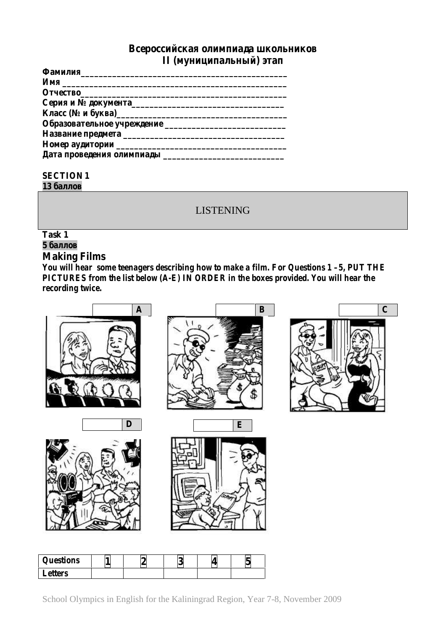

**5 баллов**

# **Making Films**

*You will hear some teenagers describing how to make a film. For Questions 1 –5, PUT THE PICTURES from the list below (A-E) IN ORDER in the boxes provided. You will hear the recording twice.*



| $\boldsymbol{\varrho}$ uestions |  | ↗<br>N | ► |
|---------------------------------|--|--------|---|
| <i>Letters</i>                  |  |        |   |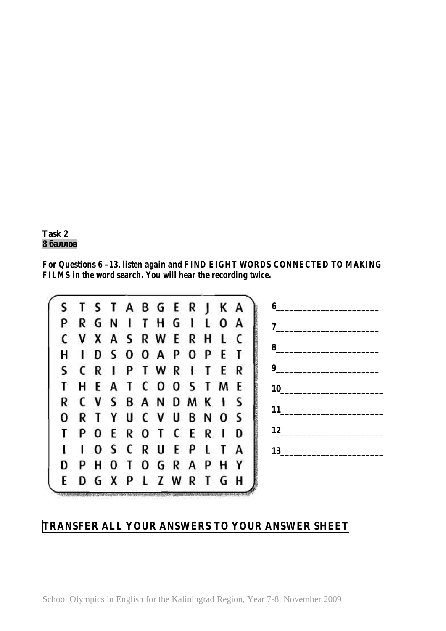

*For Questions 6 –13, listen again and FIND EIGHT WORDS CONNECTED TO MAKING FILMS in the word search. You will hear the recording twice.*



# **TRANSFER ALL YOUR ANSWERS TO YOUR ANSWER SHEET**

School Olympics in English for the Kaliningrad Region, Year 7-8, November 2009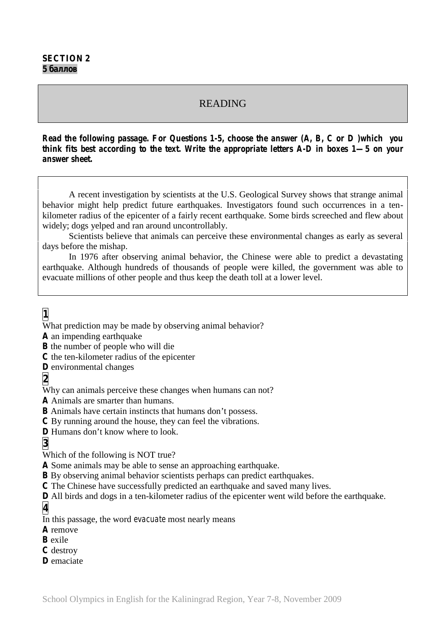## READING

*Read the following passage. For Questions 1-5, choose the answer (A, B, C or D )which you think fits best according to the text. Write the appropriate letters A-D in boxes 1—5 on your answer sheet.*

A recent investigation by scientists at the U.S. Geological Survey shows that strange animal behavior might help predict future earthquakes. Investigators found such occurrences in a ten kilometer radius of the epicenter of a fairly recent earthquake. Some birds screeched and flew about widely; dogs yelped and ran around uncontrollably.

Scientists believe that animals can perceive these environmental changes as early as several days before the mishap.

In 1976 after observing animal behavior, the Chinese were able to predict a devastating earthquake. Although hundreds of thousands of people were killed, the government was able to evacuate millions of other people and thus keep the death toll at a lower level.

**1**

What prediction may be made by observing animal behavior?

**A** an impending earthquake

**B** the number of people who will die

**C** the ten-kilometer radius of the epicenter

**D** environmental changes

**2**

Why can animals perceive these changes when humans can not?

**A** Animals are smarter than humans.

**B** Animals have certain instincts that humans don't possess.

**C** By running around the house, they can feel the vibrations.

**D** Humans don't know where to look.

**3**

Which of the following is NOT true?

**A** Some animals may be able to sense an approaching earthquake.

**B** By observing animal behavior scientists perhaps can predict earthquakes.

**C** The Chinese have successfully predicted an earthquake and saved many lives.

**D** All birds and dogs in a ten-kilometer radius of the epicenter went wild before the earthquake.

**4**

In this passage, the word *evacuate* most nearly means

**A** remove

**B** exile

**C** destroy

**D** emaciate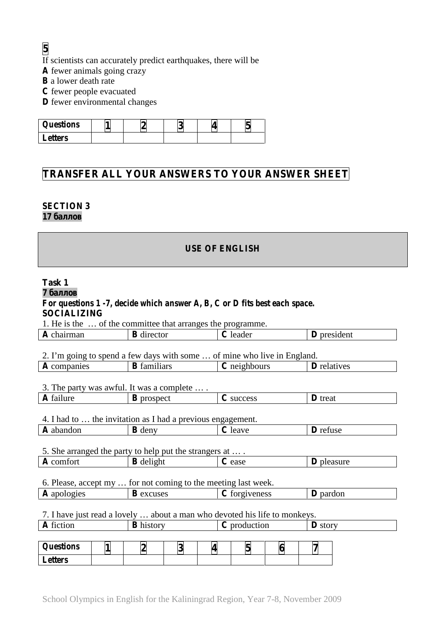**5**

If scientists can accurately predict earthquakes, there will be

**A** fewer animals going crazy

**B** a lower death rate

**C** fewer people evacuated

**D** fewer environmental changes

| <i><b>Questions</b></i> |  | ◡ |  |
|-------------------------|--|---|--|
| <b>Letters</b>          |  |   |  |

# **TRANSFER ALL YOUR ANSWERS TO YOUR ANSWER SHEET**

## **SECTION 3**

**17 баллов**

## **USE OF ENGLISH**

| Task 1                                                                                                 |                  |                    |                  |               |              |   |                    |                   |  |
|--------------------------------------------------------------------------------------------------------|------------------|--------------------|------------------|---------------|--------------|---|--------------------|-------------------|--|
|                                                                                                        |                  |                    |                  |               |              |   |                    |                   |  |
| For questions $1$ -7, decide which answer $A, B, C$ or $D$ fits best each space.<br><b>SOCIALIZING</b> |                  |                    |                  |               |              |   |                    |                   |  |
| 1. He is the  of the committee that arranges the programme.                                            |                  |                    |                  |               |              |   |                    |                   |  |
| A chairman                                                                                             |                  | <b>B</b> director  |                  |               | C leader     |   | <b>D</b> president |                   |  |
|                                                                                                        |                  |                    |                  |               |              |   |                    |                   |  |
| 2. I'm going to spend a few days with some  of mine who live in England.                               |                  |                    |                  |               |              |   |                    |                   |  |
| A companies                                                                                            |                  | <b>B</b> familiars |                  |               | C neighbours |   | <b>D</b> relatives |                   |  |
|                                                                                                        |                  |                    |                  |               |              |   |                    |                   |  |
| 3. The party was awful. It was a complete  .                                                           |                  |                    |                  |               |              |   |                    |                   |  |
| A failure                                                                                              |                  | <b>B</b> prospect  |                  |               | C success    |   | <b>D</b> treat     |                   |  |
|                                                                                                        |                  |                    |                  |               |              |   |                    |                   |  |
| 4. I had to  the invitation as I had a previous engagement.                                            |                  |                    |                  |               |              |   |                    |                   |  |
| A abandon                                                                                              |                  | <b>B</b> deny      |                  |               | C leave      |   |                    | D refuse          |  |
|                                                                                                        |                  |                    |                  |               |              |   |                    |                   |  |
| 5. She arranged the party to help put the strangers at                                                 |                  |                    |                  |               |              |   |                    |                   |  |
| A comfort                                                                                              |                  | <b>B</b> delight   |                  |               | $C ease$     |   |                    | <b>D</b> pleasure |  |
|                                                                                                        |                  |                    |                  |               |              |   |                    |                   |  |
| 6. Please, accept my  for not coming to the meeting last week.                                         |                  |                    |                  |               |              |   |                    |                   |  |
| A apologies                                                                                            | <b>B</b> excuses |                    |                  | C forgiveness |              |   | D pardon           |                   |  |
|                                                                                                        |                  |                    |                  |               |              |   |                    |                   |  |
| 7. I have just read a lovely  about a man who devoted his life to monkeys.                             |                  |                    |                  |               |              |   |                    |                   |  |
| A fiction                                                                                              |                  |                    | <b>B</b> history |               | C production |   |                    | <b>D</b> story    |  |
|                                                                                                        |                  |                    |                  |               |              |   |                    |                   |  |
| <b>Questions</b>                                                                                       | 1                | $\overline{2}$     | 3                | 4             | 5            | 6 | 7                  |                   |  |
| <b>Letters</b>                                                                                         |                  |                    |                  |               |              |   |                    |                   |  |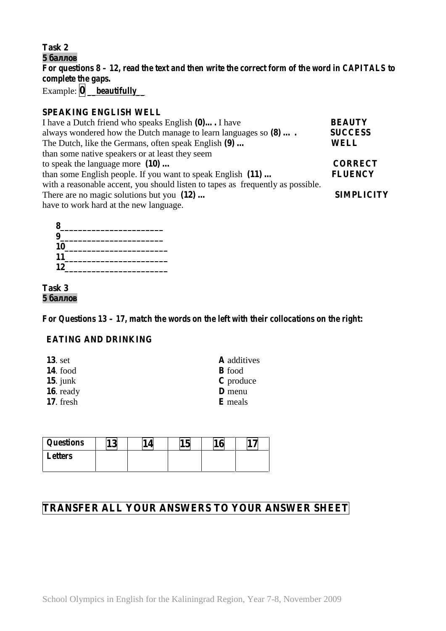**Task 2**

**5 баллов** *For questions 8 – 12, read the text and then write the correct form of the word in CAPITALS to complete the gaps.* Example: **0** *\_\_beautifully\_\_*

### **SPEAKING ENGLISH WELL**

| I have a Dutch friend who speaks English (0) I have                             | <b>BEAUTY</b>     |
|---------------------------------------------------------------------------------|-------------------|
| always wondered how the Dutch manage to learn languages so $(8)$                | <b>SUCCESS</b>    |
| The Dutch, like the Germans, often speak English (9)                            | <b>WELL</b>       |
| than some native speakers or at least they seem                                 |                   |
| to speak the language more $(10)$                                               | <b>CORRECT</b>    |
| than some English people. If you want to speak English (11)                     | <b>FLUENCY</b>    |
| with a reasonable accent, you should listen to tapes as frequently as possible. |                   |
| There are no magic solutions but you $(12)$                                     | <b>SIMPLICITY</b> |
| have to work hard at the new language.                                          |                   |

### **Task 3 5 баллов**

*For Questions 13 – 17, match the words on the left with their collocations on the right:*

## **EATING AND DRINKING**

| $13.$ set       | <b>A</b> additives |
|-----------------|--------------------|
| <b>14.</b> food | <b>B</b> food      |
| 15. junk        | C produce          |
| 16. ready       | <b>D</b> menu      |
| $17.$ fresh     | <b>E</b> meals     |

| <i><b>Questions</b></i> | $\sim$<br>ເພ | ے ا | ιv | ъ. |
|-------------------------|--------------|-----|----|----|
| <b>Letters</b>          |              |     |    |    |
|                         |              |     |    |    |

# **TRANSFER ALL YOUR ANSWERS TO YOUR ANSWER SHEET**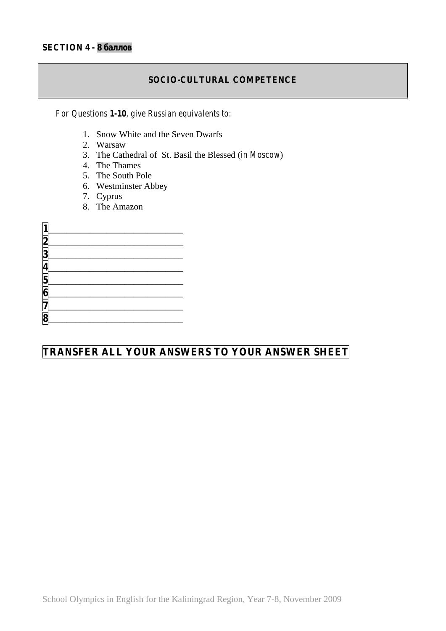### **SOCIO-CULTURAL COMPETENCE**

*For Questions 1-10, give Russian equivalents to:*

- 1. Snow White and the Seven Dwarfs
- 2. Warsaw
- 3. The Cathedral of St. Basil the Blessed (*in Moscow*)
- 4. The Thames
- 5. The South Pole
- 6. Westminster Abbey
- 7. Cyprus
- 8. The Amazon

# **TRANSFER ALL YOUR ANSWERS TO YOUR ANSWER SHEET**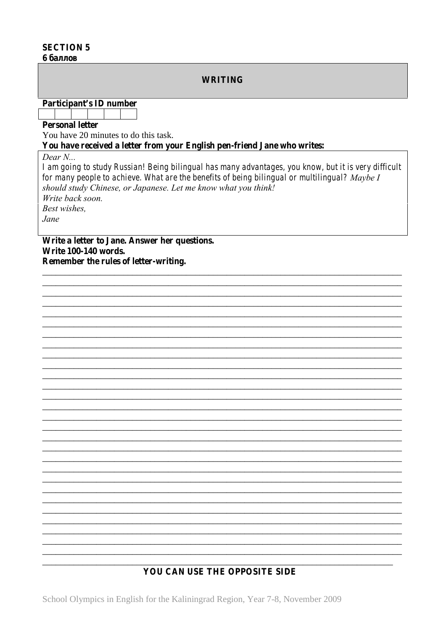### **SECTION 5**

#### 6

#### **WRITING**

**Participant's ID number** 

# **Personal letter**

You have 20 minutes to do this task.

You have received a letter from your English pen-friend Jane who writes:

Dear  $N$ ...

I am going to study Russian! Being bilingual has many advantages, you know, but it is very difficult for many people to achieve. What are the benefits of being bilingual or multilingual? Maybe I should study Chinese, or Japanese. Let me know what you think! Write back soon. **Best wishes.** Jane

Write a letter to Jane. Answer her questions. **Write 100-140 words.** Remember the rules of letter-writing.

## YOU CAN USE THE OPPOSITE SIDE

School Olympics in English for the Kaliningrad Region, Year 7-8, November 2009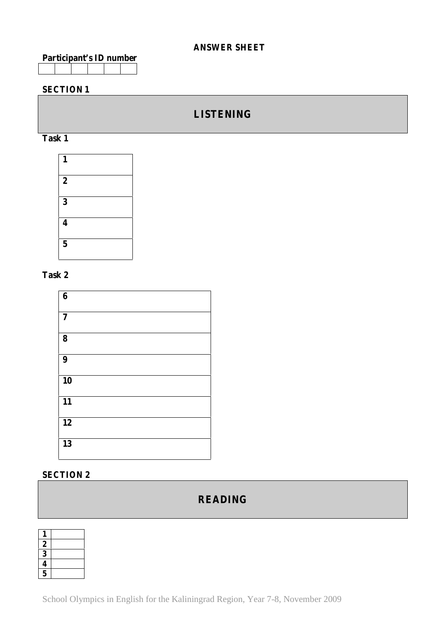### **ANSWER SHEET**

|  |  | Participant's ID number |
|--|--|-------------------------|
|  |  |                         |

## **SECTION 1**

# **LISTENING**





### **Task 2**

| 6              |  |
|----------------|--|
| $\overline{7}$ |  |
| 8              |  |
| 9              |  |
| 10             |  |
| 11             |  |
| 12             |  |
| 13             |  |

# **SECTION 2**

# **READING**

| 1              |  |
|----------------|--|
| 2              |  |
| 3              |  |
| 4              |  |
| $\overline{5}$ |  |

School Olympics in English for the Kaliningrad Region, Year 7-8, November 2009